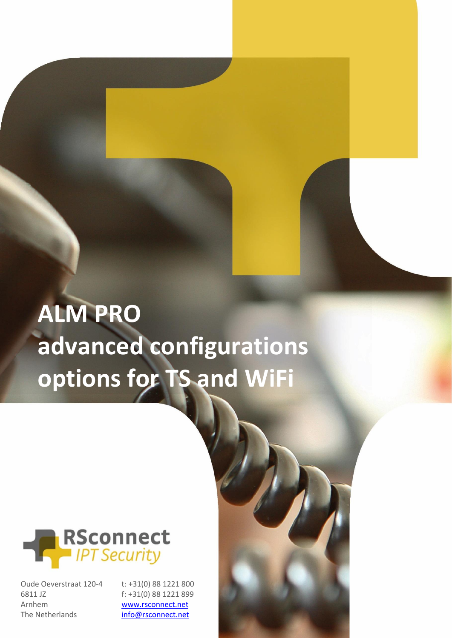# **ALM PRO advanced configurations options for TS and WiFi**



Oude Oeverstraat 120-4 6811 JZ Arnhem The Netherlands

t: +31(0) 88 1221 800 f: +31(0) 88 1221 899 [www.rsconnect.net](http://www.rsconnect.net/) [info@rsconnect.net](mailto:info@rsconnect.net)

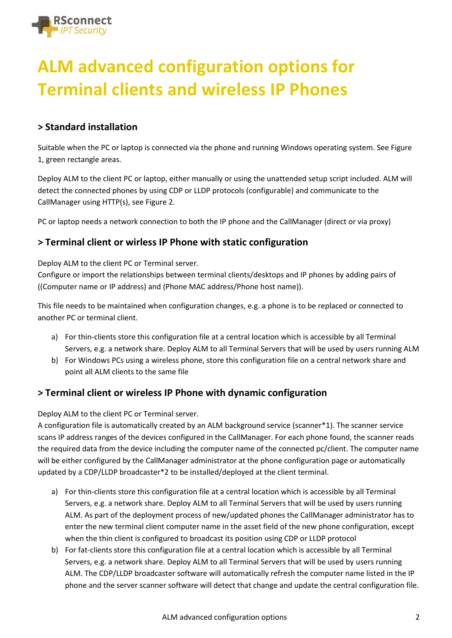

# **ALM advanced configuration options for Terminal clients and wireless IP Phones**

#### **> Standard installation**

Suitable when the PC or laptop is connected via the phone and running Windows operating system. See Figure 1, green rectangle areas.

Deploy ALM to the client PC or laptop, either manually or using the unattended setup script included. ALM will detect the connected phones by using CDP or LLDP protocols (configurable) and communicate to the CallManager using HTTP(s), see Figure 2.

PC or laptop needs a network connection to both the IP phone and the CallManager (direct or via proxy)

#### **> Terminal client or wirless IP Phone with static configuration**

Deploy ALM to the client PC or Terminal server.

Configure or import the relationships between terminal clients/desktops and IP phones by adding pairs of ((Computer name or IP address) and (Phone MAC address/Phone host name)).

This file needs to be maintained when configuration changes, e.g. a phone is to be replaced or connected to another PC or terminal client.

- a) For thin-clients store this configuration file at a central location which is accessible by all Terminal Servers, e.g. a network share. Deploy ALM to all Terminal Servers that will be used by users running ALM
- b) For Windows PCs using a wireless phone, store this configuration file on a central network share and point all ALM clients to the same file

#### **> Terminal client or wireless IP Phone with dynamic configuration**

Deploy ALM to the client PC or Terminal server.

A configuration file is automatically created by an ALM background service (scanner\*1). The scanner service scans IP address ranges of the devices configured in the CallManager. For each phone found, the scanner reads the required data from the device including the computer name of the connected pc/client. The computer name will be either configured by the CallManager administrator at the phone configuration page or automatically updated by a CDP/LLDP broadcaster\*2 to be installed/deployed at the client terminal.

- a) For thin-clients store this configuration file at a central location which is accessible by all Terminal Servers, e.g. a network share. Deploy ALM to all Terminal Servers that will be used by users running ALM. As part of the deployment process of new/updated phones the CallManager administrator has to enter the new terminal client computer name in the asset field of the new phone configuration, except when the thin client is configured to broadcast its position using CDP or LLDP protocol
- b) For fat-clients store this configuration file at a central location which is accessible by all Terminal Servers, e.g. a network share. Deploy ALM to all Terminal Servers that will be used by users running ALM. The CDP/LLDP broadcaster software will automatically refresh the computer name listed in the IP phone and the server scanner software will detect that change and update the central configuration file.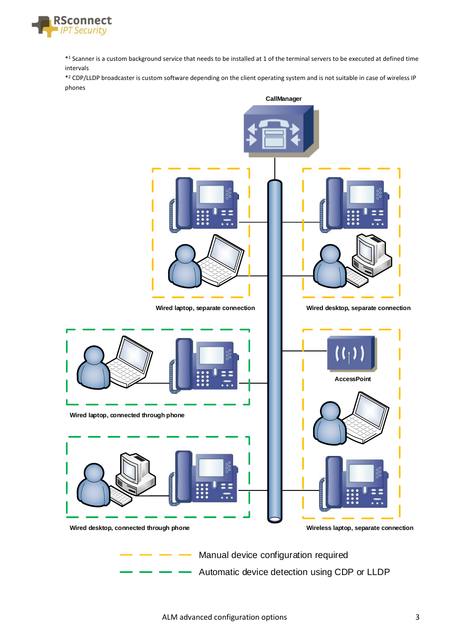

\* <sup>1</sup> Scanner is a custom background service that needs to be installed at 1 of the terminal servers to be executed at defined time intervals

\* <sup>2</sup> CDP/LLDP broadcaster is custom software depending on the client operating system and is not suitable in case of wireless IP phones



Automatic device detection using CDP or LLDP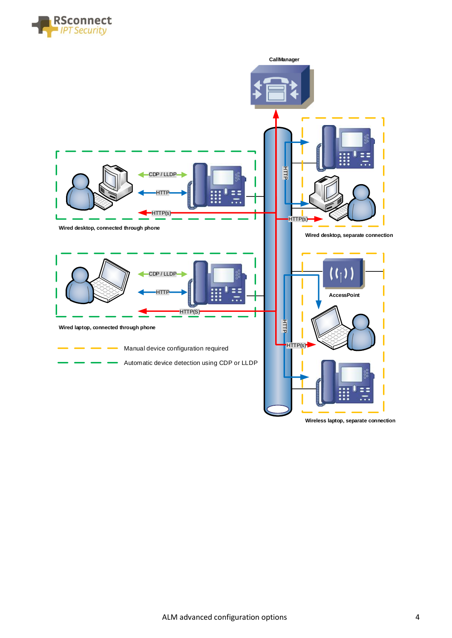



**Wireless laptop, separate connection**